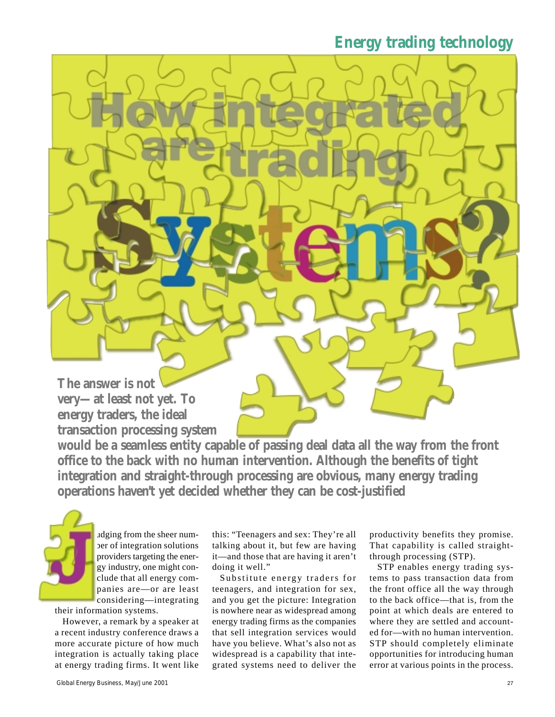**The answer is not very—at least not yet. To energy traders, the ideal transaction processing system**

**would be a seamless entity capable of passing deal data all the way from the front office to the back with no human intervention. Although the benefits of tight integration and straight-through processing are obvious, many energy trading operations haven't yet decided whether they can be cost-justified**

udging from the sheer number of integration solutions providers targeting the energy industry, one might conclude that all energy companies are—or are least considering—integrating

their information systems.

However, a remark by a speaker at a recent industry conference draws a more accurate picture of how much integration is actually taking place at energy trading firms. It went like this: "Teenagers and sex: They're all talking about it, but few are having it—and those that are having it aren't doing it well."

Substitute energy traders for teenagers, and integration for sex, and you get the picture: Integration is nowhere near as widespread among energy trading firms as the companies that sell integration services would have you believe. What's also not as widespread is a capability that integrated systems need to deliver the

productivity benefits they promise. That capability is called straightthrough processing (STP).

STP enables energy trading systems to pass transaction data from the front office all the way through to the back office—that is, from the point at which deals are entered to where they are settled and accounted for—with no human intervention. STP should completely eliminate opportunities for introducing human error at various points in the process.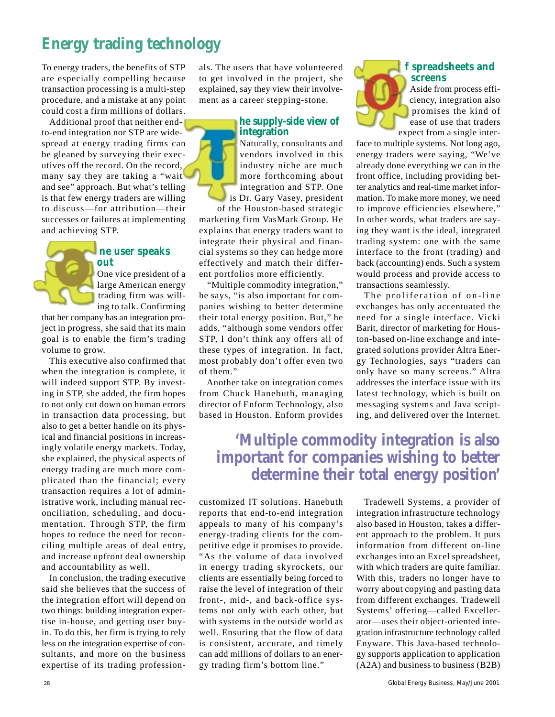To energy traders, the benefits of STP are especially compelling because transaction processing is a multi-step procedure, and a mistake at any point could cost a firm millions of dollars.

Additional proof that neither endto-end integration nor STP are widespread at energy trading firms can be gleaned by surveying their executives off the record. On the record, many say they are taking a "wait and see" approach. But what's telling is that few energy traders are willing to discuss—for attribution—their successes or failures at implementing and achieving STP.

### **ne user speaks out**

One vice president of a large American energy trading firm was willing to talk. Confirming

that her company has an integration project in progress, she said that its main goal is to enable the firm's trading volume to grow.

This executive also confirmed that when the integration is complete, it will indeed support STP. By investing in STP, she added, the firm hopes to not only cut down on human errors in transaction data processing, but also to get a better handle on its physical and financial positions in increasingly volatile energy markets. Today, she explained, the physical aspects of energy trading are much more complicated than the financial; every transaction requires a lot of administrative work, including manual reconciliation, scheduling, and documentation. Through STP, the firm hopes to reduce the need for reconciling multiple areas of deal entry, and increase upfront deal ownership and accountability as well.

In conclusion, the trading executive said she believes that the success of the integration effort will depend on two things: building integration expertise in-house, and getting user buyin. To do this, her firm is trying to rely less on the integration expertise of consultants, and more on the business expertise of its trading professionals. The users that have volunteered to get involved in the project, she explained, say they view their involvement as a career stepping-stone.

#### **he supply-side view of integration**

Naturally, consultants and vendors involved in this industry niche are much more forthcoming about integration and STP. One is Dr. Gary Vasey, president of the Houston-based strategic

marketing firm VasMark Group. He explains that energy traders want to integrate their physical and financial systems so they can hedge more effectively and match their different portfolios more efficiently.

"Multiple commodity integration," he says, "is also important for companies wishing to better determine their total energy position. But," he adds, "although some vendors offer STP, I don't think any offers all of these types of integration. In fact, most probably don't offer even two of them."

Another take on integration comes from Chuck Hanebuth, managing director of Enform Technology, also based in Houston. Enform provides

### **f spreadsheets and screens**



Aside from process efficiency, integration also promises the kind of ease of use that traders expect from a single inter-

face to multiple systems. Not long ago, energy traders were saying, "We've already done everything we can in the front office, including providing better analytics and real-time market information. To make more money, we need to improve efficiencies elsewhere." In other words, what traders are saying they want is the ideal, integrated trading system: one with the same interface to the front (trading) and back (accounting) ends. Such a system would process and provide access to transactions seamlessly.

The proliferation of on-line exchanges has only accentuated the need for a single interface. Vicki Barit, director of marketing for Houston-based on-line exchange and integrated solutions provider Altra Energy Technologies, says "traders can only have so many screens." Altra addresses the interface issue with its latest technology, which is built on messaging systems and Java scripting, and delivered over the Internet.

# **'Multiple commodity integration is also important for companies wishing to better determine their total energy position'**

customized IT solutions. Hanebuth reports that end-to-end integration appeals to many of his company's energy-trading clients for the competitive edge it promises to provide. "As the volume of data involved in energy trading skyrockets, our clients are essentially being forced to raise the level of integration of their front-, mid-, and back-office systems not only with each other, but with systems in the outside world as well. Ensuring that the flow of data is consistent, accurate, and timely can add millions of dollars to an energy trading firm's bottom line."

Tradewell Systems, a provider of integration infrastructure technology also based in Houston, takes a different approach to the problem. It puts information from different on-line exchanges into an Excel spreadsheet, with which traders are quite familiar. With this, traders no longer have to worry about copying and pasting data from different exchanges. Tradewell Systems' offering—called Excellerator—uses their object-oriented integration infrastructure technology called Enyware. This Java-based technology supports application to application (A2A) and business to business (B2B)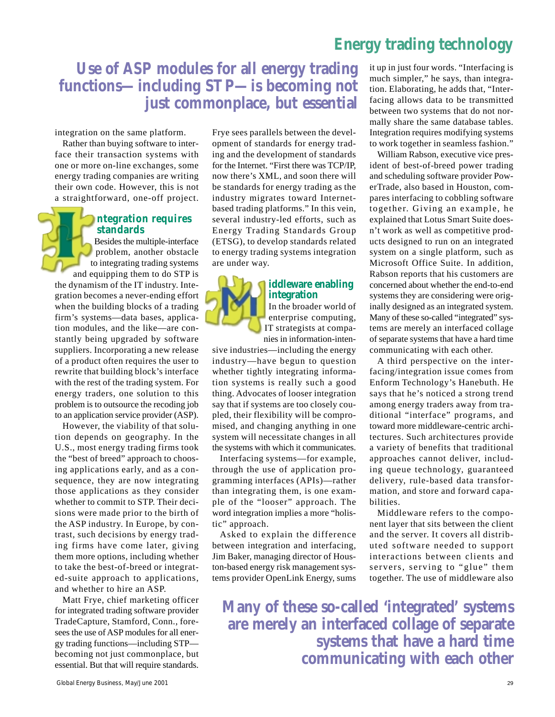## **Use of ASP modules for all energy trading functions—including STP—is becoming not just commonplace, but essential**

integration on the same platform.

Rather than buying software to interface their transaction systems with one or more on-line exchanges, some energy trading companies are writing their own code. However, this is not a straightforward, one-off project.

### **ntegration requires standards**

Besides the multiple-interface problem, another obstacle to integrating trading systems and equipping them to do STP is the dynamism of the IT industry. Integration becomes a never-ending effort when the building blocks of a trading firm's systems—data bases, application modules, and the like—are constantly being upgraded by software suppliers. Incorporating a new release of a product often requires the user to rewrite that building block's interface with the rest of the trading system. For energy traders, one solution to this problem is to outsource the recoding job to an application service provider (ASP).

However, the viability of that solution depends on geography. In the U.S., most energy trading firms took the "best of breed" approach to choosing applications early, and as a consequence, they are now integrating those applications as they consider whether to commit to STP. Their decisions were made prior to the birth of the ASP industry. In Europe, by contrast, such decisions by energy trading firms have come later, giving them more options, including whether to take the best-of-breed or integrated-suite approach to applications, and whether to hire an ASP.

Matt Frye, chief marketing officer for integrated trading software provider TradeCapture, Stamford, Conn., foresees the use of ASP modules for all energy trading functions—including STP becoming not just commonplace, but essential. But that will require standards.

Frye sees parallels between the development of standards for energy trading and the development of standards for the Internet. "First there was TCP/IP, now there's XML, and soon there will be standards for energy trading as the industry migrates toward Internetbased trading platforms." In this vein, several industry-led efforts, such as Energy Trading Standards Group (ETSG), to develop standards related to energy trading systems integration are under way.



### **iddleware enabling integration**

In the broader world of enterprise computing, IT strategists at companies in information-inten-

sive industries—including the energy industry—have begun to question whether tightly integrating information systems is really such a good thing. Advocates of looser integration say that if systems are too closely coupled, their flexibility will be compromised, and changing anything in one system will necessitate changes in all the systems with which it communicates.

Interfacing systems—for example, through the use of application programming interfaces (APIs)—rather than integrating them, is one example of the "looser" approach. The word integration implies a more "holistic" approach.

Asked to explain the difference between integration and interfacing, Jim Baker, managing director of Houston-based energy risk management systems provider OpenLink Energy, sums

it up in just four words. "Interfacing is much simpler," he says, than integration. Elaborating, he adds that, "Interfacing allows data to be transmitted between two systems that do not normally share the same database tables. Integration requires modifying systems to work together in seamless fashion."

William Rabson, executive vice president of best-of-breed power trading and scheduling software provider PowerTrade, also based in Houston, compares interfacing to cobbling software together. Giving an example, he explained that Lotus Smart Suite doesn't work as well as competitive products designed to run on an integrated system on a single platform, such as Microsoft Office Suite. In addition, Rabson reports that his customers are concerned about whether the end-to-end systems they are considering were originally designed as an integrated system. Many of these so-called "integrated" systems are merely an interfaced collage of separate systems that have a hard time communicating with each other.

A third perspective on the interfacing/integration issue comes from Enform Technology's Hanebuth. He says that he's noticed a strong trend among energy traders away from traditional "interface" programs, and toward more middleware-centric architectures. Such architectures provide a variety of benefits that traditional approaches cannot deliver, including queue technology, guaranteed delivery, rule-based data transformation, and store and forward capabilities.

Middleware refers to the component layer that sits between the client and the server. It covers all distributed software needed to support interactions between clients and servers, serving to "glue" them together. The use of middleware also

**Many of these so-called 'integrated' systems are merely an interfaced collage of separate systems that have a hard time communicating with each other**